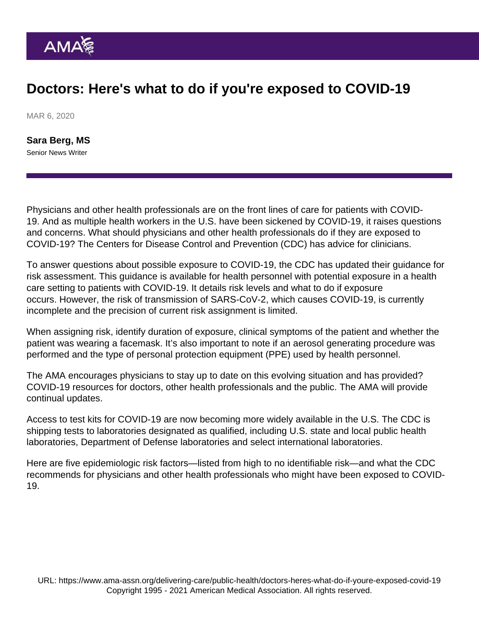# Doctors: Here's what to do if you're exposed to COVID-19

MAR 6, 2020

[Sara Berg, MS](https://www.ama-assn.org/news-leadership-viewpoints/authors-news-leadership-viewpoints/sara-berg-ms) Senior News Writer

Physicians and other health professionals are on the front lines of care for patients with COVID-19. And as multiple health workers in the U.S. have been sickened by COVID-19, it raises questions and concerns. What should physicians and other health professionals do if they are exposed to COVID-19? The Centers for Disease Control and Prevention (CDC) has advice for clinicians.

To answer questions about possible exposure to COVID-19, the CDC has updated their [guidance for](https://www.cdc.gov/coronavirus/2019-ncov/hcp/guidance-risk-assesment-hcp.html) [risk assessment](https://www.cdc.gov/coronavirus/2019-ncov/hcp/guidance-risk-assesment-hcp.html). This guidance is available for health personnel with potential exposure in a health care setting to patients with COVID-19. It details risk levels and what to do if exposure occurs. However, the risk of transmission of SARS-CoV-2, which causes COVID-19, is currently incomplete and the precision of current risk assignment is limited.

When assigning risk, identify duration of exposure, clinical symptoms of the patient and whether the patient was wearing a facemask. It's also important to note if an aerosol generating procedure was performed and the type of personal protection equipment (PPE) used by health personnel.

The AMA encourages physicians to stay up to date on this evolving situation and has provided? [COVID-19 resources for doctors, other health professionals and the public.](https://www.ama-assn.org/delivering-care/public-health/novel-coronavirus-2019-ncov-resources-physicians-and-public) The AMA will provide continual updates.

Access to [test kits for COVID-19](https://www.cdc.gov/coronavirus/2019-ncov/about/testing.html) are now becoming more widely available in the U.S. The CDC is shipping tests to laboratories designated as qualified, including U.S. state and local public health laboratories, Department of Defense laboratories and select international laboratories.

Here are five epidemiologic risk factors—listed from high to no identifiable risk—and what the CDC recommends for physicians and other health professionals who might have been exposed to COVID-19.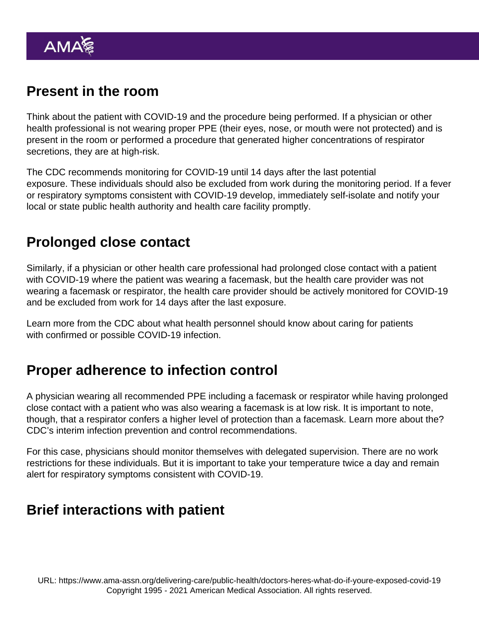### Present in the room

Think about the patient with COVID-19 and the procedure being performed. If a physician or other health professional is not wearing proper PPE (their eyes, nose, or mouth were not protected) and is present in the room or performed a procedure that generated higher concentrations of respirator secretions, they are at high-risk.

The CDC recommends monitoring for COVID-19 until 14 days after the last potential exposure. These individuals should also be excluded from work during the monitoring period. If a fever or respiratory symptoms consistent with COVID-19 develop, immediately self-isolate and notify your local or state public health authority and health care facility promptly.

#### Prolonged close contact

Similarly, if a physician or other health care professional had prolonged close contact with a patient with COVID-19 where the patient was wearing a facemask, but the health care provider was not wearing a facemask or respirator, the health care provider should be actively monitored for COVID-19 and be excluded from work for 14 days after the last exposure.

Learn more from the CDC about [what health personnel should know about caring for patients](https://www.cdc.gov/coronavirus/2019-ncov/hcp/caring-for-patients.html) [with confirmed or possible COVID-19 infection](https://www.cdc.gov/coronavirus/2019-ncov/hcp/caring-for-patients.html).

### Proper adherence to infection control

A physician wearing all recommended PPE including a facemask or respirator while having prolonged close contact with a patient who was also wearing a facemask is at low risk. It is important to note, though, that a respirator confers a higher level of protection than a facemask. Learn more about the? [CDC's interim infection prevention and control recommendations.](https://www.cdc.gov/coronavirus/2019-nCoV/hcp/infection-control.html)

For this case, physicians should monitor themselves with delegated supervision. There are no work restrictions for these individuals. But it is important to take your temperature twice a day and remain alert for respiratory symptoms consistent with COVID-19.

### Brief interactions with patient